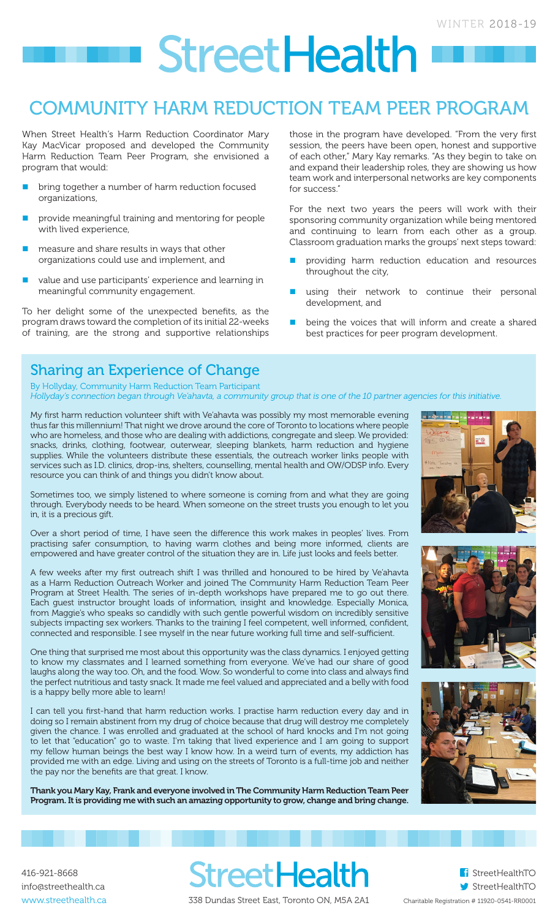# **StreetHealth**

### COMMUNITY HARM REDUCTION TEAM PEER PROGRAM

When Street Health's Harm Reduction Coordinator Mary Kay MacVicar proposed and developed the Community Harm Reduction Team Peer Program, she envisioned a program that would:

- bring together a number of harm reduction focused organizations,
- provide meaningful training and mentoring for people with lived experience,
- measure and share results in ways that other organizations could use and implement, and
- value and use participants' experience and learning in meaningful community engagement.

To her delight some of the unexpected benefits, as the program draws toward the completion of its initial 22-weeks of training, are the strong and supportive relationships

those in the program have developed. "From the very first session, the peers have been open, honest and supportive of each other," Mary Kay remarks. "As they begin to take on and expand their leadership roles, they are showing us how team work and interpersonal networks are key components for success."

For the next two years the peers will work with their sponsoring community organization while being mentored and continuing to learn from each other as a group. Classroom graduation marks the groups' next steps toward:

- providing harm reduction education and resources throughout the city,
- using their network to continue their personal development, and
- being the voices that will inform and create a shared best practices for peer program development.

### Sharing an Experience of Change

By Hollyday, Community Harm Reduction Team Participant *Hollyday's connection began through Ve'ahavta, a community group that is one of the 10 partner agencies for this initiative.*

My first harm reduction volunteer shift with Ve'ahavta was possibly my most memorable evening thus far this millennium! That night we drove around the core of Toronto to locations where people who are homeless, and those who are dealing with addictions, congregate and sleep. We provided: snacks, drinks, clothing, footwear, outerwear, sleeping blankets, harm reduction and hygiene supplies. While the volunteers distribute these essentials, the outreach worker links people with services such as I.D. clinics, drop-ins, shelters, counselling, mental health and OW/ODSP info. Every resource you can think of and things you didn't know about.

Sometimes too, we simply listened to where someone is coming from and what they are going through. Everybody needs to be heard. When someone on the street trusts you enough to let you in, it is a precious gift.

Over a short period of time, I have seen the difference this work makes in peoples' lives. From practising safer consumption, to having warm clothes and being more informed, clients are empowered and have greater control of the situation they are in. Life just looks and feels better.

A few weeks after my first outreach shift I was thrilled and honoured to be hired by Ve'ahavta as a Harm Reduction Outreach Worker and joined The Community Harm Reduction Team Peer Program at Street Health. The series of in-depth workshops have prepared me to go out there. Each guest instructor brought loads of information, insight and knowledge. Especially Monica, from Maggie's who speaks so candidly with such gentle powerful wisdom on incredibly sensitive subjects impacting sex workers. Thanks to the training I feel competent, well informed, confident, connected and responsible. I see myself in the near future working full time and self-sufficient.

One thing that surprised me most about this opportunity was the class dynamics. I enjoyed getting to know my classmates and I learned something from everyone. We've had our share of good laughs along the way too. Oh, and the food. Wow. So wonderful to come into class and always find the perfect nutritious and tasty snack. It made me feel valued and appreciated and a belly with food is a happy belly more able to learn!

I can tell you first-hand that harm reduction works. I practise harm reduction every day and in doing so I remain abstinent from my drug of choice because that drug will destroy me completely given the chance. I was enrolled and graduated at the school of hard knocks and I'm not going to let that "education" go to waste. I'm taking that lived experience and I am going to support my fellow human beings the best way I know how. In a weird turn of events, my addiction has provided me with an edge. Living and using on the streets of Toronto is a full-time job and neither the pay nor the benefits are that great. I know.

Thank you Mary Kay, Frank and everyone involved in The Community Harm Reduction Team Peer Program. It is providing me with such an amazing opportunity to grow, change and bring change.







416-921-8668 info@streethealth.ca www.streethealth.ca

338 Dundas Street East, Toronto ON, M5A 2A1

**StreetHealth**